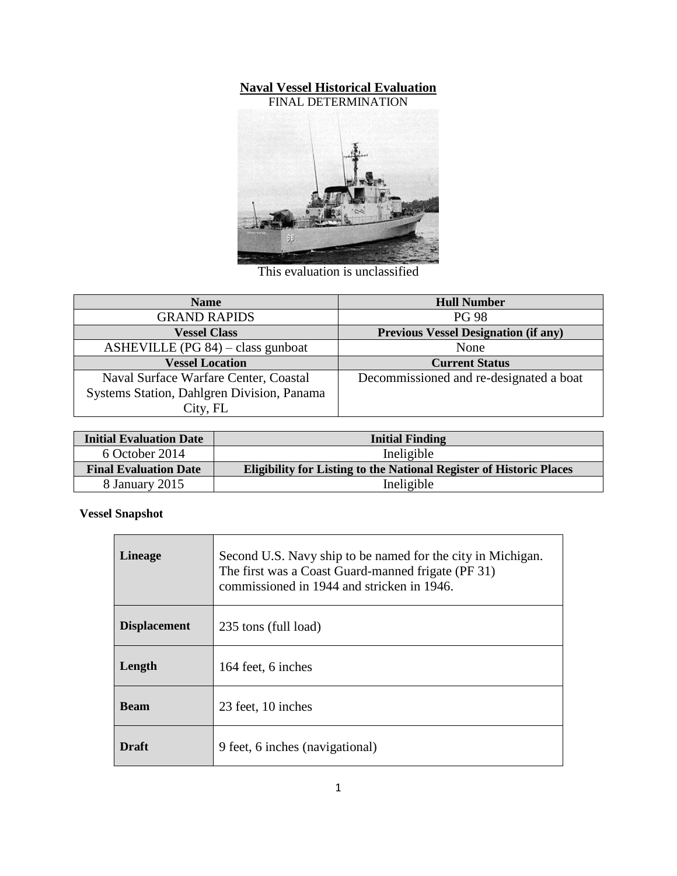### **Naval Vessel Historical Evaluation**



This evaluation is unclassified

| <b>Name</b>                                | <b>Hull Number</b>                          |
|--------------------------------------------|---------------------------------------------|
| <b>GRAND RAPIDS</b>                        | <b>PG 98</b>                                |
| <b>Vessel Class</b>                        | <b>Previous Vessel Designation (if any)</b> |
| ASHEVILLE (PG 84) – class gunboat          | None                                        |
| <b>Vessel Location</b>                     | <b>Current Status</b>                       |
| Naval Surface Warfare Center, Coastal      | Decommissioned and re-designated a boat     |
| Systems Station, Dahlgren Division, Panama |                                             |
| City, FL                                   |                                             |

| <b>Initial Evaluation Date</b> | <b>Initial Finding</b>                                                     |
|--------------------------------|----------------------------------------------------------------------------|
| 6 October 2014                 | Ineligible                                                                 |
| <b>Final Evaluation Date</b>   | <b>Eligibility for Listing to the National Register of Historic Places</b> |
| 8 January 2015                 | Ineligible                                                                 |

**Vessel Snapshot**

| <b>Lineage</b>      | Second U.S. Navy ship to be named for the city in Michigan.<br>The first was a Coast Guard-manned frigate (PF 31)<br>commissioned in 1944 and stricken in 1946. |
|---------------------|-----------------------------------------------------------------------------------------------------------------------------------------------------------------|
| <b>Displacement</b> | 235 tons (full load)                                                                                                                                            |
| Length              | 164 feet, 6 inches                                                                                                                                              |
| <b>Beam</b>         | 23 feet, 10 inches                                                                                                                                              |
| <b>Draft</b>        | 9 feet, 6 inches (navigational)                                                                                                                                 |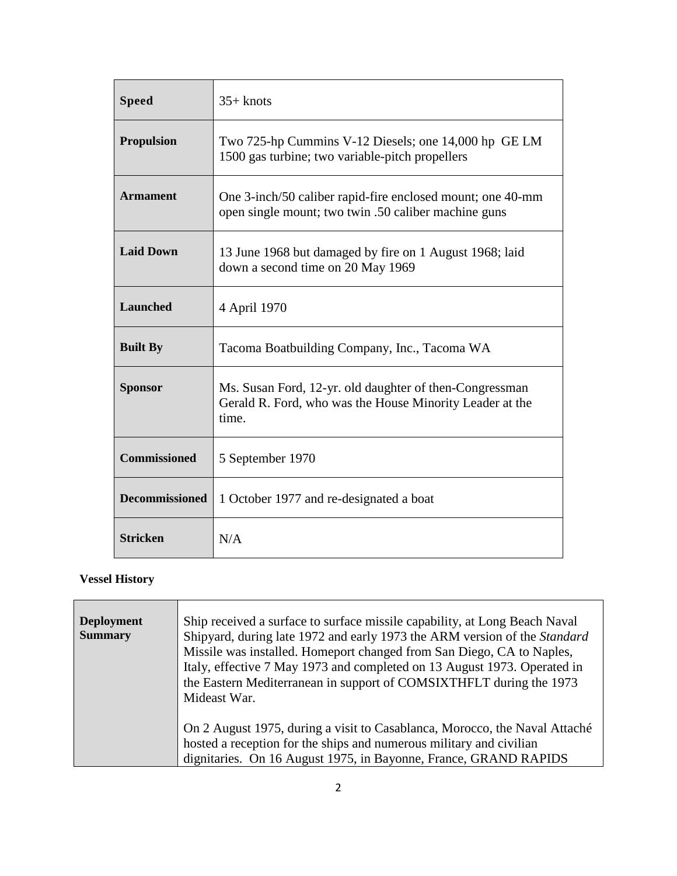| <b>Speed</b>          | $35+$ knots                                                                                                                  |
|-----------------------|------------------------------------------------------------------------------------------------------------------------------|
| <b>Propulsion</b>     | Two 725-hp Cummins V-12 Diesels; one 14,000 hp GE LM<br>1500 gas turbine; two variable-pitch propellers                      |
| <b>Armament</b>       | One 3-inch/50 caliber rapid-fire enclosed mount; one 40-mm<br>open single mount; two twin .50 caliber machine guns           |
| <b>Laid Down</b>      | 13 June 1968 but damaged by fire on 1 August 1968; laid<br>down a second time on 20 May 1969                                 |
| <b>Launched</b>       | 4 April 1970                                                                                                                 |
| <b>Built By</b>       | Tacoma Boatbuilding Company, Inc., Tacoma WA                                                                                 |
| <b>Sponsor</b>        | Ms. Susan Ford, 12-yr. old daughter of then-Congressman<br>Gerald R. Ford, who was the House Minority Leader at the<br>time. |
| <b>Commissioned</b>   | 5 September 1970                                                                                                             |
| <b>Decommissioned</b> | 1 October 1977 and re-designated a boat                                                                                      |
| <b>Stricken</b>       | N/A                                                                                                                          |

# **Vessel History**

| <b>Deployment</b> | Ship received a surface to surface missile capability, at Long Beach Naval |
|-------------------|----------------------------------------------------------------------------|
| <b>Summary</b>    | Shipyard, during late 1972 and early 1973 the ARM version of the Standard  |
|                   | Missile was installed. Homeport changed from San Diego, CA to Naples,      |
|                   | Italy, effective 7 May 1973 and completed on 13 August 1973. Operated in   |
|                   | the Eastern Mediterranean in support of COMSIXTHFLT during the 1973        |
|                   | Mideast War.                                                               |
|                   |                                                                            |
|                   | On 2 August 1975, during a visit to Casablanca, Morocco, the Naval Attaché |
|                   | hosted a reception for the ships and numerous military and civilian        |
|                   | dignitaries. On 16 August 1975, in Bayonne, France, GRAND RAPIDS           |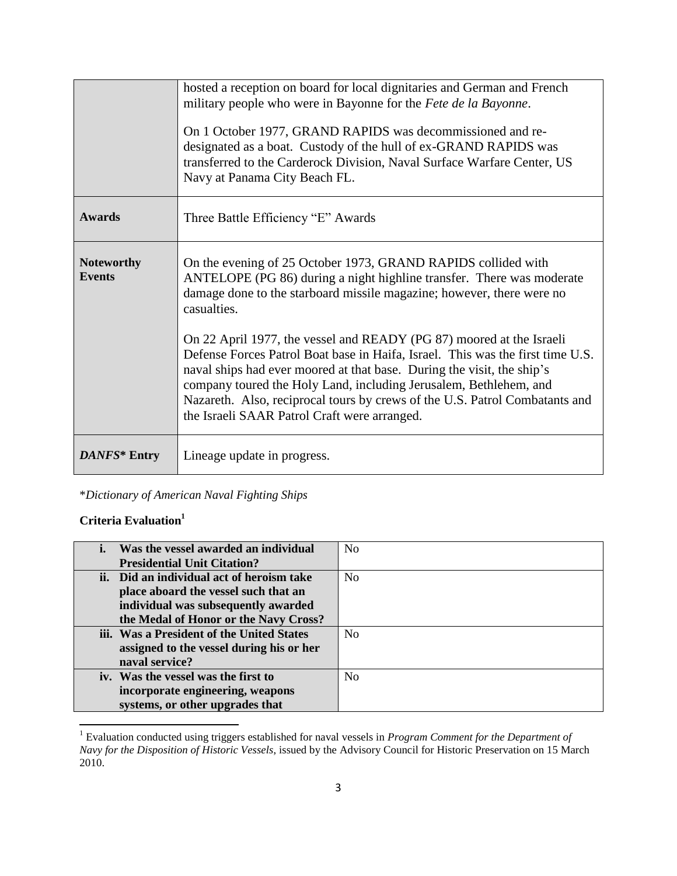|                                    | hosted a reception on board for local dignitaries and German and French<br>military people who were in Bayonne for the Fete de la Bayonne.<br>On 1 October 1977, GRAND RAPIDS was decommissioned and re-<br>designated as a boat. Custody of the hull of ex-GRAND RAPIDS was<br>transferred to the Carderock Division, Naval Surface Warfare Center, US<br>Navy at Panama City Beach FL.                                             |
|------------------------------------|--------------------------------------------------------------------------------------------------------------------------------------------------------------------------------------------------------------------------------------------------------------------------------------------------------------------------------------------------------------------------------------------------------------------------------------|
| <b>Awards</b>                      | Three Battle Efficiency "E" Awards                                                                                                                                                                                                                                                                                                                                                                                                   |
| <b>Noteworthy</b><br><b>Events</b> | On the evening of 25 October 1973, GRAND RAPIDS collided with<br>ANTELOPE (PG 86) during a night highline transfer. There was moderate<br>damage done to the starboard missile magazine; however, there were no<br>casualties.                                                                                                                                                                                                       |
|                                    | On 22 April 1977, the vessel and READY (PG 87) moored at the Israeli<br>Defense Forces Patrol Boat base in Haifa, Israel. This was the first time U.S.<br>naval ships had ever moored at that base. During the visit, the ship's<br>company toured the Holy Land, including Jerusalem, Bethlehem, and<br>Nazareth. Also, reciprocal tours by crews of the U.S. Patrol Combatants and<br>the Israeli SAAR Patrol Craft were arranged. |
| DANFS* Entry                       | Lineage update in progress.                                                                                                                                                                                                                                                                                                                                                                                                          |

# \**Dictionary of American Naval Fighting Ships*

#### **Criteria Evaluation<sup>1</sup>**

 $\overline{\phantom{a}}$ 

| i. Was the vessel awarded an individual   | N <sub>0</sub> |
|-------------------------------------------|----------------|
| <b>Presidential Unit Citation?</b>        |                |
| ii. Did an individual act of heroism take | N <sub>0</sub> |
| place aboard the vessel such that an      |                |
| individual was subsequently awarded       |                |
| the Medal of Honor or the Navy Cross?     |                |
| iii. Was a President of the United States | N <sub>0</sub> |
| assigned to the vessel during his or her  |                |
| naval service?                            |                |
| iv. Was the vessel was the first to       | N <sub>0</sub> |
| incorporate engineering, weapons          |                |
| systems, or other upgrades that           |                |

<sup>1</sup> Evaluation conducted using triggers established for naval vessels in *Program Comment for the Department of Navy for the Disposition of Historic Vessels*, issued by the Advisory Council for Historic Preservation on 15 March 2010.